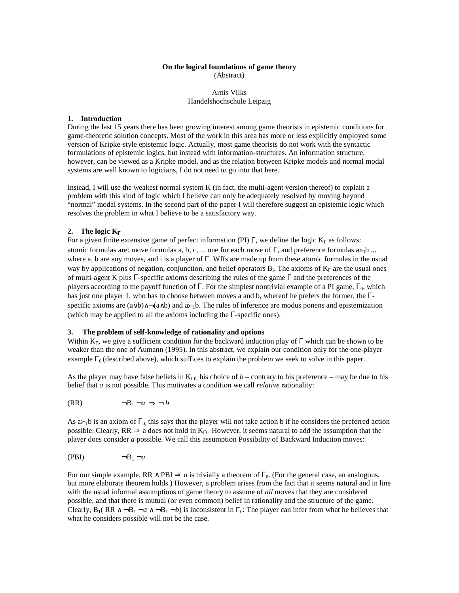### **On the logical foundations of game theory** (Abstract)

# Arnis Vilks Handelshochschule Leipzig

## **1. Introduction**

During the last 15 years there has been growing interest among game theorists in epistemic conditions for game-theoretic solution concepts. Most of the work in this area has more or less explicitly employed some version of Kripke-style epistemic logic. Actually, most game theorists do not work with the syntactic formulations of epistemic logics, but instead with information-structures. An information structure, however, can be viewed as a Kripke model, and as the relation between Kripke models and normal modal systems are well known to logicians, I do not need to go into that here.

Instead, I will use the weakest normal system K (in fact, the multi-agent version thereof) to explain a problem with this kind of logic which I believe can only be adequately resolved by moving beyond "normal" modal systems. In the second part of the paper I will therefore suggest an epistemic logic which resolves the problem in what I believe to be a satisfactory way.

### **2.** The logic K<sub>Γ</sub>

For a given finite extensive game of perfect information (PI)  $\Gamma$ , we define the logic K<sub>Γ</sub> as follows: atomic formulas are: move formulas a, b, c, ... one for each move of Γ, and preference formulas  $a \rightarrow b$  ... where a, b are any moves, and i is a player of Γ. Wffs are made up from these atomic formulas in the usual way by applications of negation, conjunction, and belief operators  $B_i$ . The axioms of  $K_{\Gamma}$  are the usual ones of multi-agent K plus Γ-specific axioms describing the rules of the game Γ and the preferences of the players according to the payoff function of Γ. For the simplest nontrivial example of a PI game,  $\Gamma_0$ , which has just one player 1, who has to choose between moves a and b, whereof he prefers the former, the Γspecific axioms are (a∨b) $\land \neg$ (a∧b) and a≻<sub>1</sub>b. The rules of inference are modus ponens and epistemization (which may be applied to all the axioms including the  $\Gamma$ -specific ones).

#### **3. The problem of self-knowledge of rationality and options**

Within K<sub>Γ</sub>, we give a sufficient condition for the backward induction play of  $\Gamma$  which can be shown to be weaker than the one of Aumann (1995). In this abstract, we explain our condition only for the one-player example  $\Gamma_0$  (described above), which suffices to explain the problem we seek to solve in this paper.

As the player may have false beliefs in  $K_{\Gamma 0}$  his choice of *b* – contrary to his preference – may be due to his belief that *a* is not possible. This motivates a condition we call *relative* rationality:

$$
(RR) \qquad \qquad \neg B_1 \neg a \Rightarrow \neg b
$$

As  $a_{\text{h}}$  is an axiom of  $\Gamma_0$ , this says that the player will not take action b if he considers the preferred action possible. Clearly,  $RR \Rightarrow$  a does not hold in  $K_{\Gamma 0}$ . However, it seems natural to add the assumption that the player does consider *a* possible. We call this assumption Possibility of Backward Induction moves:

$$
(\text{PBI}) \qquad \qquad \neg B_1 \neg a
$$

For our simple example,  $RR \wedge PBI \Rightarrow a$  is trivially a theorem of  $\Gamma_0$ . (For the general case, an analogous, but more elaborate theorem holds.) However, a problem arises from the fact that it seems natural and in line with the usual informal assumptions of game theory to assume of *all* moves that they are considered possible, and that there is mutual (or even common) belief in rationality and the structure of the game. Clearly,  $B_1(RR \wedge \neg B_1 \neg a \wedge \neg B_1 \neg b)$  is inconsistent in  $\Gamma_0$ : The player can infer from what he believes that what he considers possible will not be the case.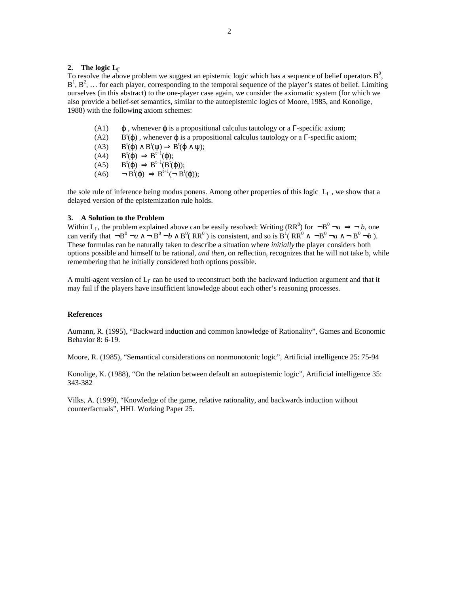#### **2. The logic L**<sub>Γ</sub>

To resolve the above problem we suggest an epistemic logic which has a sequence of belief operators  $B^0$ ,  $B^1$ ,  $B^2$ , ... for each player, corresponding to the temporal sequence of the player's states of belief. Limiting ourselves (in this abstract) to the one-player case again, we consider the axiomatic system (for which we also provide a belief-set semantics, similar to the autoepistemic logics of Moore, 1985, and Konolige, 1988) with the following axiom schemes:

- (A1)  $\phi$ , whenever  $\phi$  is a propositional calculus tautology or a  $\Gamma$ -specific axiom;
- $(A2)$ <sup>t</sup>( $\varphi$ ), whenever  $\varphi$  is a propositional calculus tautology or a  $\Gamma$ -specific axiom;
- $(A3)$  $t^{\mathfrak{t}}(\varphi) \wedge B^{\mathfrak{t}}(\psi) \Rightarrow B^{\mathfrak{t}}(\varphi \wedge \psi);$
- $(A4)$  $t^{\mathfrak{t}}(\varphi) \Rightarrow B^{\mathfrak{t}+1}(\varphi);$
- $(A5)$  $t^{\mathsf{t}}(\varphi) \Rightarrow B^{\mathsf{t}+1}(B^{\mathsf{t}}(\varphi));$
- $(A6)$  $t^{\mathsf{t}}(\varphi) \Rightarrow B^{\mathsf{t}+1}(\neg B^{\mathsf{t}}(\varphi));$

the sole rule of inference being modus ponens. Among other properties of this logic  $L_{\Gamma}$ , we show that a delayed version of the epistemization rule holds.

## **3. A Solution to the Problem**

Within L<sub>Γ</sub>, the problem explained above can be easily resolved: Writing (RR<sup>0</sup>) for  $\neg B^0 \neg a \Rightarrow \neg b$ , one can verify that  $\neg B^0 \neg a \wedge \neg B^0 \neg b \wedge B^0$  ( $RR^0$ ) is consistent, and so is  $B^1$  ( $RR^0 \wedge \neg B^0 \neg a \wedge \neg B^0 \neg b$ ). These formulas can be naturally taken to describe a situation where *initially* the player considers both options possible and himself to be rational, *and then*, on reflection, recognizes that he will not take b, while remembering that he initially considered both options possible.

A multi-agent version of  $L<sub>Γ</sub>$  can be used to reconstruct both the backward induction argument and that it may fail if the players have insufficient knowledge about each other's reasoning processes.

#### **References**

Aumann, R. (1995), "Backward induction and common knowledge of Rationality", Games and Economic Behavior 8: 6-19.

Moore, R. (1985), "Semantical considerations on nonmonotonic logic", Artificial intelligence 25: 75-94

Konolige, K. (1988), "On the relation between default an autoepistemic logic", Artificial intelligence 35: 343-382

Vilks, A. (1999), "Knowledge of the game, relative rationality, and backwards induction without counterfactuals", HHL Working Paper 25.